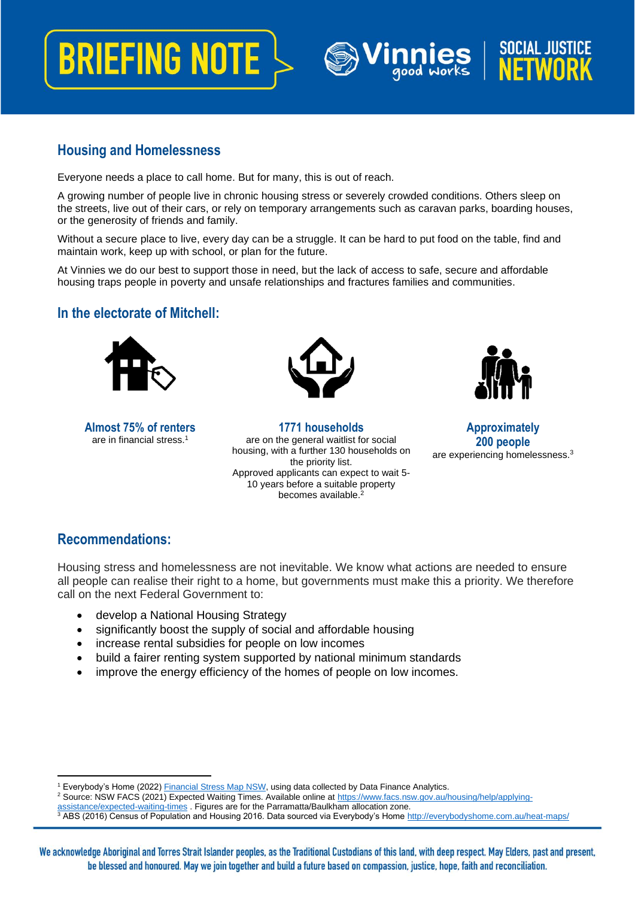## **BRIEFING NOTE**

## **Housing and Homelessness**

Everyone needs a place to call home. But for many, this is out of reach.

A growing number of people live in chronic housing stress or severely crowded conditions. Others sleep on the streets, live out of their cars, or rely on temporary arrangements such as caravan parks, boarding houses, or the generosity of friends and family.

Without a secure place to live, every day can be a struggle. It can be hard to put food on the table, find and maintain work, keep up with school, or plan for the future.

At Vinnies we do our best to support those in need, but the lack of access to safe, secure and affordable housing traps people in poverty and unsafe relationships and fractures families and communities.

## **In the electorate of Mitchell:**



**Almost 75% of renters** are in financial stress. 1



**1771 households** are on the general waitlist for social housing, with a further 130 households on the priority list. Approved applicants can expect to wait 5- 10 years before a suitable property becomes available.<sup>2</sup>



**SOCIAL JUSTICE** 

**NFTWN** 

**Approximately 200 people** are experiencing homelessness.<sup>3</sup>

## **Recommendations:**

Housing stress and homelessness are not inevitable. We know what actions are needed to ensure all people can realise their right to a home, but governments must make this a priority. We therefore call on the next Federal Government to:

- develop a National Housing Strategy
- significantly boost the supply of social and affordable housing
- increase rental subsidies for people on low incomes
- build a fairer renting system supported by national minimum standards
- improve the energy efficiency of the homes of people on low incomes.

<sup>2</sup> Source: NSW FACS (2021) Expected Waiting Times. Available online a[t https://www.facs.nsw.gov.au/housing/help/applying](https://www.facs.nsw.gov.au/housing/help/applying-assistance/expected-waiting-times)[assistance/expected-waiting-times](https://www.facs.nsw.gov.au/housing/help/applying-assistance/expected-waiting-times) . Figures are for the Parramatta/Baulkham allocation zone.

<sup>&</sup>lt;sup>1</sup> Everybody's Home (2022[\) Financial Stress Map NSW,](https://everybodyshome.com.au/about-everybodys-home/) using data collected by Data Finance Analytics.

<sup>&</sup>lt;sup>3</sup> ABS (2016) Census of Population and Housing 2016. Data sourced via Everybody's Home<http://everybodyshome.com.au/heat-maps/>